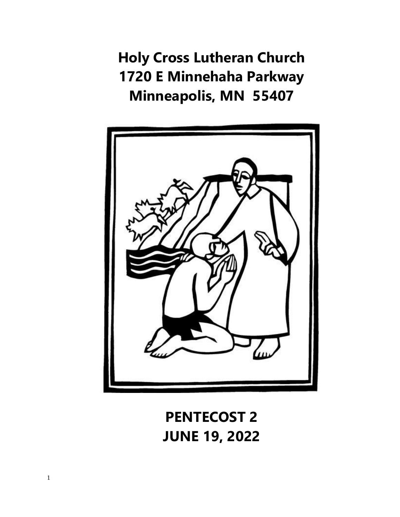**Holy Cross Lutheran Church 1720 E Minnehaha Parkway Minneapolis, MN 55407**



**PENTECOST 2 JUNE 19, 2022**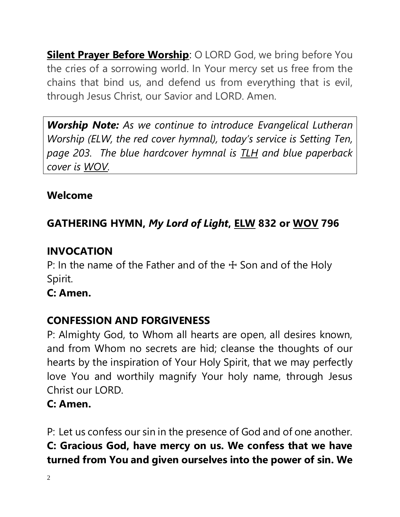**Silent Prayer Before Worship: O LORD God, we bring before You** the cries of a sorrowing world. In Your mercy set us free from the chains that bind us, and defend us from everything that is evil, through Jesus Christ, our Savior and LORD. Amen.

*Worship Note: As we continue to introduce Evangelical Lutheran Worship (ELW, the red cover hymnal), today's service is Setting Ten, page 203. The blue hardcover hymnal is TLH and blue paperback cover is WOV.*

# **Welcome**

# **GATHERING HYMN,** *My Lord of Light***, ELW 832 or WOV 796**

# **INVOCATION**

P: In the name of the Father and of the  $+$  Son and of the Holy Spirit.

# **C: Amen.**

# **CONFESSION AND FORGIVENESS**

P: Almighty God, to Whom all hearts are open, all desires known, and from Whom no secrets are hid; cleanse the thoughts of our hearts by the inspiration of Your Holy Spirit, that we may perfectly love You and worthily magnify Your holy name, through Jesus Christ our LORD.

# **C: Amen.**

P: Let us confess our sin in the presence of God and of one another. **C: Gracious God, have mercy on us. We confess that we have turned from You and given ourselves into the power of sin. We**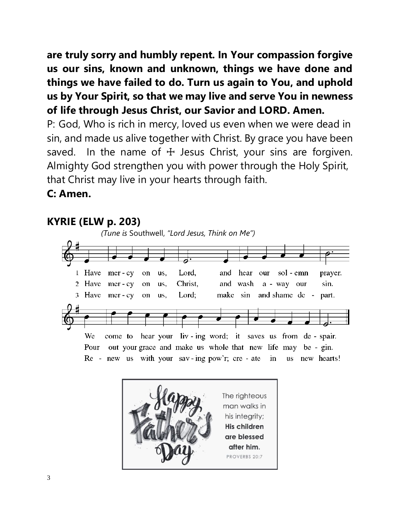**are truly sorry and humbly repent. In Your compassion forgive us our sins, known and unknown, things we have done and things we have failed to do. Turn us again to You, and uphold us by Your Spirit, so that we may live and serve You in newness of life through Jesus Christ, our Savior and LORD. Amen.**

P: God, Who is rich in mercy, loved us even when we were dead in sin, and made us alive together with Christ. By grace you have been saved. In the name of  $\pm$  Jesus Christ, your sins are forgiven. Almighty God strengthen you with power through the Holy Spirit, that Christ may live in your hearts through faith.

**C: Amen.**

# **KYRIE (ELW p. 203)**



 $\text{Re}$  - new us with your sav-ing pow'r; cre - ate in us new hearts!

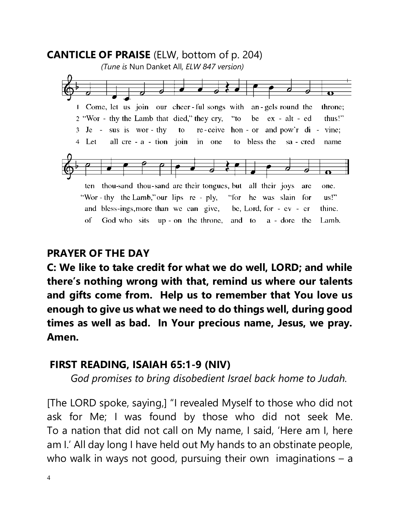## **CANTICLE OF PRAISE** (ELW, bottom of p. 204)



of God who sits  $up$  - on the throne, and to  $a$  - dore the Lamb.

#### **PRAYER OF THE DAY**

**C: We like to take credit for what we do well, LORD; and while there's nothing wrong with that, remind us where our talents and gifts come from. Help us to remember that You love us enough to give us what we need to do things well, during good times as well as bad. In Your precious name, Jesus, we pray. Amen.**

#### **FIRST READING, ISAIAH 65:1-9 (NIV)**

*God promises to bring disobedient Israel back home to Judah.*

[The LORD spoke, saying,] "I revealed Myself to those who did not ask for Me; I was found by those who did not seek Me. To a nation that did not call on My name, I said, 'Here am I, here am I.' All day long I have held out My hands to an obstinate people, who walk in ways not good, pursuing their own imaginations  $- a$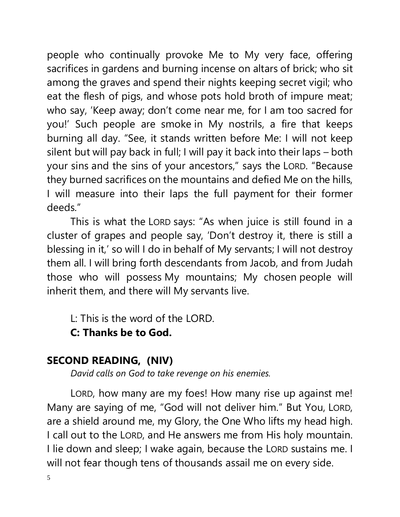people who continually provoke Me to My very face, offering sacrifices in gardens and burning incense on altars of brick; who sit among the graves and spend their nights keeping secret vigil; who eat the flesh of pigs, and whose pots hold broth of impure meat; who say, 'Keep away; don't come near me, for I am too sacred for you!' Such people are smoke in My nostrils, a fire that keeps burning all day. "See, it stands written before Me: I will not keep silent but will pay back in full; I will pay it back into their laps – both your sins and the sins of your ancestors," says the LORD. "Because they burned sacrifices on the mountains and defied Me on the hills, I will measure into their laps the full payment for their former deeds."

This is what the LORD says: "As when juice is still found in a cluster of grapes and people say, 'Don't destroy it, there is still a blessing in it,' so will I do in behalf of My servants; I will not destroy them all. I will bring forth descendants from Jacob, and from Judah those who will possess My mountains; My chosen people will inherit them, and there will My servants live.

L: This is the word of the LORD. **C: Thanks be to God.**

# **SECOND READING, (NIV)**

*David calls on God to take revenge on his enemies.*

LORD, how many are my foes! How many rise up against me! Many are saying of me, "God will not deliver him." But You, LORD, are a shield around me, my Glory, the One Who lifts my head high. I call out to the LORD, and He answers me from His holy mountain. I lie down and sleep; I wake again, because the LORD sustains me. I will not fear though tens of thousands assail me on every side.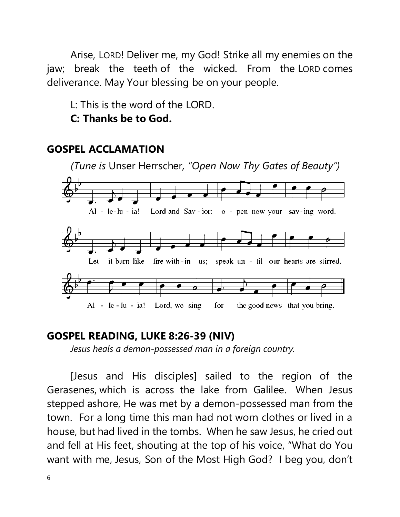Arise, LORD! Deliver me, my God! Strike all my enemies on the jaw; break the teeth of the wicked. From the LORD comes deliverance. May Your blessing be on your people.

L: This is the word of the LORD.

## **C: Thanks be to God.**

# **GOSPEL ACCLAMATION**



# **GOSPEL READING, LUKE 8:26-39 (NIV)**

*Jesus heals a demon-possessed man in a foreign country.*

[Jesus and His disciples] sailed to the region of the Gerasenes, which is across the lake from Galilee. When Jesus stepped ashore, He was met by a demon-possessed man from the town. For a long time this man had not worn clothes or lived in a house, but had lived in the tombs. When he saw Jesus, he cried out and fell at His feet, shouting at the top of his voice, "What do You want with me, Jesus, Son of the Most High God? I beg you, don't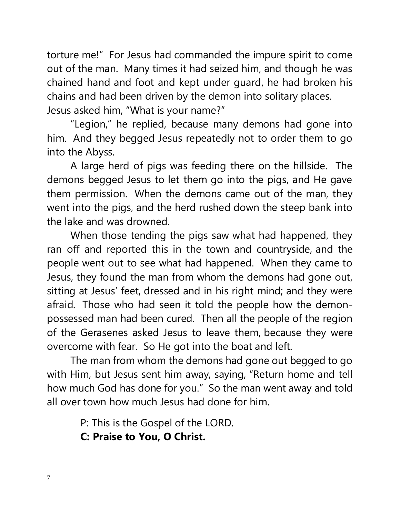torture me!" For Jesus had commanded the impure spirit to come out of the man. Many times it had seized him, and though he was chained hand and foot and kept under guard, he had broken his chains and had been driven by the demon into solitary places. Jesus asked him, "What is your name?"

"Legion," he replied, because many demons had gone into him. And they begged Jesus repeatedly not to order them to go into the Abyss.

A large herd of pigs was feeding there on the hillside. The demons begged Jesus to let them go into the pigs, and He gave them permission. When the demons came out of the man, they went into the pigs, and the herd rushed down the steep bank into the lake and was drowned.

When those tending the pigs saw what had happened, they ran off and reported this in the town and countryside, and the people went out to see what had happened. When they came to Jesus, they found the man from whom the demons had gone out, sitting at Jesus' feet, dressed and in his right mind; and they were afraid. Those who had seen it told the people how the demonpossessed man had been cured. Then all the people of the region of the Gerasenes asked Jesus to leave them, because they were overcome with fear. So He got into the boat and left.

The man from whom the demons had gone out begged to go with Him, but Jesus sent him away, saying, "Return home and tell how much God has done for you." So the man went away and told all over town how much Jesus had done for him.

> P: This is the Gospel of the LORD. **C: Praise to You, O Christ.**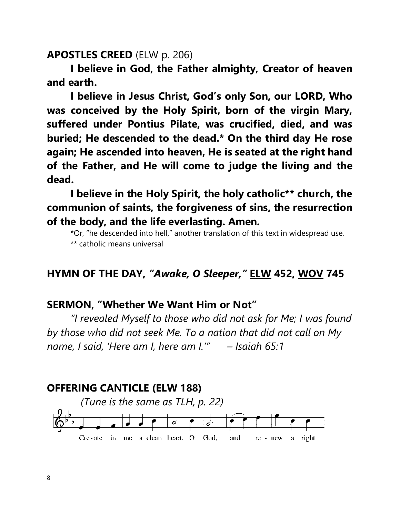#### **APOSTLES CREED** (ELW p. 206)

**I believe in God, the Father almighty, Creator of heaven and earth.**

**I believe in Jesus Christ, God's only Son, our LORD, Who was conceived by the Holy Spirit, born of the virgin Mary, suffered under Pontius Pilate, was crucified, died, and was buried; He descended to the dead.\* On the third day He rose again; He ascended into heaven, He is seated at the right hand of the Father, and He will come to judge the living and the dead.**

**I believe in the Holy Spirit, the holy catholic\*\* church, the communion of saints, the forgiveness of sins, the resurrection of the body, and the life everlasting. Amen.**

\*Or, "he descended into hell," another translation of this text in widespread use. \*\* catholic means universal

#### **HYMN OF THE DAY,** *"Awake, O Sleeper,"* **ELW 452, WOV 745**

#### **SERMON, "Whether We Want Him or Not"**

*"I revealed Myself to those who did not ask for Me; I was found by those who did not seek Me. To a nation that did not call on My name, I said, 'Here am I, here am I.'" – Isaiah 65:1*

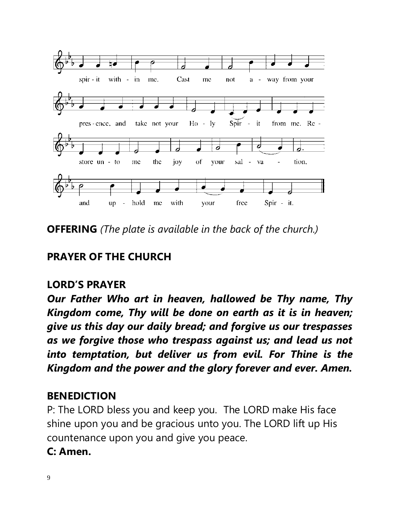

**OFFERING** *(The plate is available in the back of the church.)*

# **PRAYER OF THE CHURCH**

## **LORD'S PRAYER**

*Our Father Who art in heaven, hallowed be Thy name, Thy Kingdom come, Thy will be done on earth as it is in heaven; give us this day our daily bread; and forgive us our trespasses as we forgive those who trespass against us; and lead us not into temptation, but deliver us from evil. For Thine is the Kingdom and the power and the glory forever and ever. Amen.*

## **BENEDICTION**

P: The LORD bless you and keep you. The LORD make His face shine upon you and be gracious unto you. The LORD lift up His countenance upon you and give you peace.

# **C: Amen.**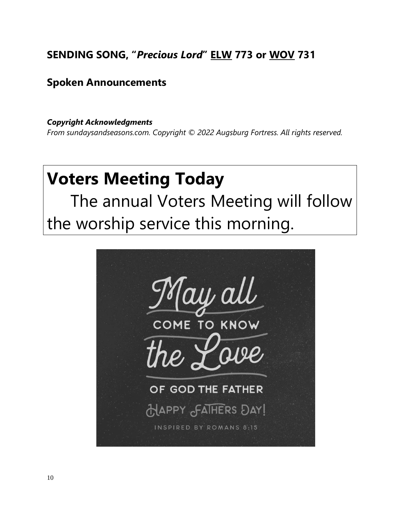# **SENDING SONG, "***Precious Lord***" ELW 773 or WOV 731**

#### **Spoken Announcements**

#### *Copyright Acknowledgments*

*From sundaysandseasons.com. Copyright © 2022 Augsburg Fortress. All rights reserved.*

# **Voters Meeting Today**

The annual Voters Meeting will follow the worship service this morning.

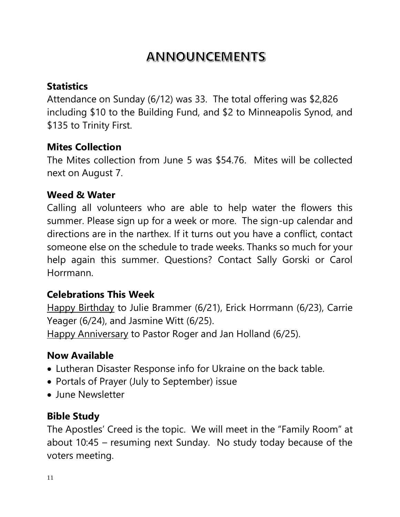# **ANNOUNCEMENTS**

#### **Statistics**

Attendance on Sunday (6/12) was 33. The total offering was \$2,826 including \$10 to the Building Fund, and \$2 to Minneapolis Synod, and \$135 to Trinity First.

#### **Mites Collection**

The Mites collection from June 5 was \$54.76. Mites will be collected next on August 7.

#### **Weed & Water**

Calling all volunteers who are able to help water the flowers this summer. Please sign up for a week or more. The sign-up calendar and directions are in the narthex. If it turns out you have a conflict, contact someone else on the schedule to trade weeks. Thanks so much for your help again this summer. Questions? Contact Sally Gorski or Carol Horrmann.

#### **Celebrations This Week**

Happy Birthday to Julie Brammer (6/21), Erick Horrmann (6/23), Carrie Yeager (6/24), and Jasmine Witt (6/25).

Happy Anniversary to Pastor Roger and Jan Holland (6/25).

#### **Now Available**

- Lutheran Disaster Response info for Ukraine on the back table.
- Portals of Prayer (July to September) issue
- June Newsletter

## **Bible Study**

The Apostles' Creed is the topic. We will meet in the "Family Room" at about 10:45 – resuming next Sunday. No study today because of the voters meeting.